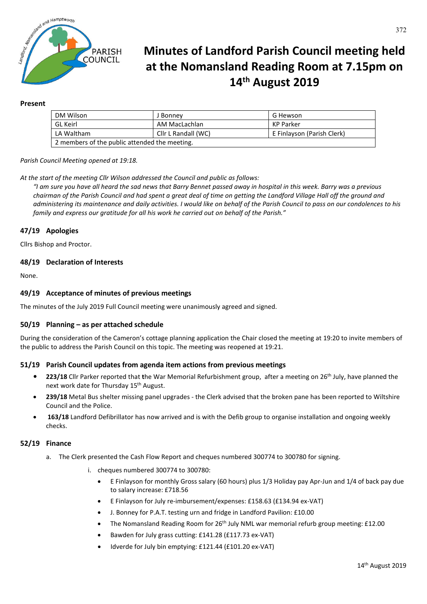

# **Minutes of Landford Parish Council meeting held at the Nomansland Reading Room at 7.15pm on 14th August 2019**

#### **Present**

| DM Wilson                                     | Bonney              | G Hewson                   |
|-----------------------------------------------|---------------------|----------------------------|
| GL Keirl                                      | AM MacLachlan       | KP Parker                  |
| LA Waltham                                    | Cllr L Randall (WC) | E Finlayson (Parish Clerk) |
| 2 members of the public attended the meeting. |                     |                            |

*Parish Council Meeting opened at 19:18.*

*At the start of the meeting Cllr Wilson addressed the Council and public as follows:* 

*"I am sure you have all heard the sad news that Barry Bennet passed away in hospital in this week. Barry was a previous chairman of the Parish Council and had spent a great deal of time on getting the Landford Village Hall off the ground and administering its maintenance and daily activities. I would like on behalf of the Parish Council to pass on our condolences to his family and express our gratitude for all his work he carried out on behalf of the Parish."*

## **47/19 Apologies**

Cllrs Bishop and Proctor.

## **48/19 Declaration of Interests**

None.

## **49/19 Acceptance of minutes of previous meetings**

The minutes of the July 2019 Full Council meeting were unanimously agreed and signed.

#### **50/19 Planning – as per attached schedule**

During the consideration of the Cameron's cottage planning application the Chair closed the meeting at 19:20 to invite members of the public to address the Parish Council on this topic. The meeting was reopened at 19:21.

#### **51/19 Parish Council updates from agenda item actions from previous meetings**

- **• 223/18** Cllr Parker reported that **t**he War Memorial Refurbishment group, after a meeting on 26th July, have planned the next work date for Thursday 15<sup>th</sup> August.
- **239/18** Metal Bus shelter missing panel upgrades the Clerk advised that the broken pane has been reported to Wiltshire Council and the Police.
- **163/18** Landford Defibrillator has now arrived and is with the Defib group to organise installation and ongoing weekly checks.

#### **52/19 Finance**

- a. The Clerk presented the Cash Flow Report and cheques numbered 300774 to 300780 for signing.
	- i. cheques numbered 300774 to 300780:
		- E Finlayson for monthly Gross salary (60 hours) plus 1/3 Holiday pay Apr-Jun and 1/4 of back pay due to salary increase: £718.56
		- E Finlayson for July re-imbursement/expenses: £158.63 (£134.94 ex-VAT)
		- J. Bonney for P.A.T. testing urn and fridge in Landford Pavilion: £10.00
		- The Nomansland Reading Room for 26<sup>th</sup> July NML war memorial refurb group meeting: £12.00
		- Bawden for July grass cutting: £141.28 (£117.73 ex-VAT)
		- Idverde for July bin emptying: £121.44 (£101.20 ex-VAT)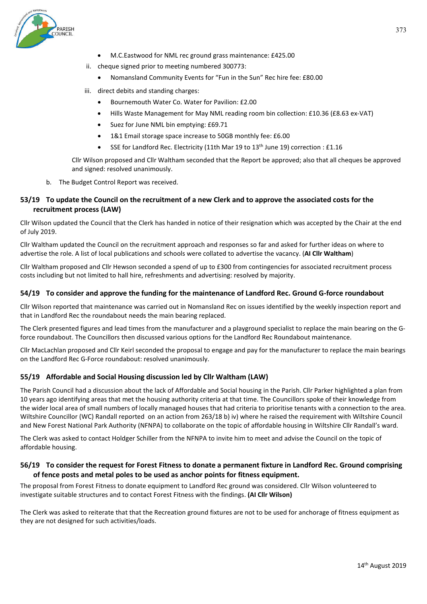

- M.C.Eastwood for NML rec ground grass maintenance: £425.00
- ii. cheque signed prior to meeting numbered 300773:
	- Nomansland Community Events for "Fun in the Sun" Rec hire fee: £80.00
- iii. direct debits and standing charges:
	- Bournemouth Water Co. Water for Pavilion: £2.00
	- Hills Waste Management for May NML reading room bin collection: £10.36 (£8.63 ex-VAT)
	- Suez for June NML bin emptying: £69.71
	- 1&1 Email storage space increase to 50GB monthly fee: £6.00
	- SSE for Landford Rec. Electricity (11th Mar 19 to 13<sup>th</sup> June 19) correction : £1.16

Cllr Wilson proposed and Cllr Waltham seconded that the Report be approved; also that all cheques be approved and signed: resolved unanimously.

b. The Budget Control Report was received.

# **53/19 To update the Council on the recruitment of a new Clerk and to approve the associated costs for the recruitment process (LAW)**

Cllr Wilson updated the Council that the Clerk has handed in notice of their resignation which was accepted by the Chair at the end of July 2019.

Cllr Waltham updated the Council on the recruitment approach and responses so far and asked for further ideas on where to advertise the role. A list of local publications and schools were collated to advertise the vacancy. (**AI Cllr Waltham**)

Cllr Waltham proposed and Cllr Hewson seconded a spend of up to £300 from contingencies for associated recruitment process costs including but not limited to hall hire, refreshments and advertising: resolved by majority.

#### **54/19 To consider and approve the funding for the maintenance of Landford Rec. Ground G-force roundabout**

Cllr Wilson reported that maintenance was carried out in Nomansland Rec on issues identified by the weekly inspection report and that in Landford Rec the roundabout needs the main bearing replaced.

The Clerk presented figures and lead times from the manufacturer and a playground specialist to replace the main bearing on the Gforce roundabout. The Councillors then discussed various options for the Landford Rec Roundabout maintenance.

Cllr MacLachlan proposed and Cllr Keirl seconded the proposal to engage and pay for the manufacturer to replace the main bearings on the Landford Rec G-Force roundabout: resolved unanimously.

## **55/19 Affordable and Social Housing discussion led by Cllr Waltham (LAW)**

The Parish Council had a discussion about the lack of Affordable and Social housing in the Parish. Cllr Parker highlighted a plan from 10 years ago identifying areas that met the housing authority criteria at that time. The Councillors spoke of their knowledge from the wider local area of small numbers of locally managed houses that had criteria to prioritise tenants with a connection to the area. Wiltshire Councillor (WC) Randall reported on an action from 263/18 b) iv) where he raised the requirement with Wiltshire Council and New Forest National Park Authority (NFNPA) to collaborate on the topic of affordable housing in Wiltshire Cllr Randall's ward.

The Clerk was asked to contact Holdger Schiller from the NFNPA to invite him to meet and advise the Council on the topic of affordable housing.

#### **56/19 To consider the request for Forest Fitness to donate a permanent fixture in Landford Rec. Ground comprising of fence posts and metal poles to be used as anchor points for fitness equipment.**

The proposal from Forest Fitness to donate equipment to Landford Rec ground was considered. Cllr Wilson volunteered to investigate suitable structures and to contact Forest Fitness with the findings. **(AI Cllr Wilson)**

The Clerk was asked to reiterate that that the Recreation ground fixtures are not to be used for anchorage of fitness equipment as they are not designed for such activities/loads.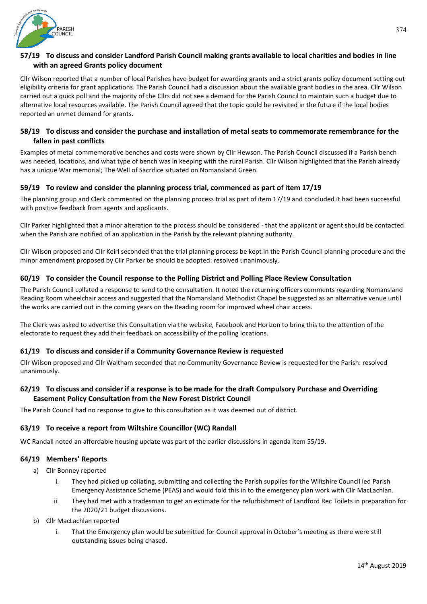

# **57/19 To discuss and consider Landford Parish Council making grants available to local charities and bodies in line with an agreed Grants policy document**

Cllr Wilson reported that a number of local Parishes have budget for awarding grants and a strict grants policy document setting out eligibility criteria for grant applications. The Parish Council had a discussion about the available grant bodies in the area. Cllr Wilson carried out a quick poll and the majority of the Cllrs did not see a demand for the Parish Council to maintain such a budget due to alternative local resources available. The Parish Council agreed that the topic could be revisited in the future if the local bodies reported an unmet demand for grants.

# **58/19 To discuss and consider the purchase and installation of metal seats to commemorate remembrance for the fallen in past conflicts**

Examples of metal commemorative benches and costs were shown by Cllr Hewson. The Parish Council discussed if a Parish bench was needed, locations, and what type of bench was in keeping with the rural Parish. Cllr Wilson highlighted that the Parish already has a unique War memorial; The Well of Sacrifice situated on Nomansland Green.

# **59/19 To review and consider the planning process trial, commenced as part of item 17/19**

The planning group and Clerk commented on the planning process trial as part of item 17/19 and concluded it had been successful with positive feedback from agents and applicants.

Cllr Parker highlighted that a minor alteration to the process should be considered - that the applicant or agent should be contacted when the Parish are notified of an application in the Parish by the relevant planning authority.

Cllr Wilson proposed and Cllr Keirl seconded that the trial planning process be kept in the Parish Council planning procedure and the minor amendment proposed by Cllr Parker be should be adopted: resolved unanimously.

## **60/19 To consider the Council response to the Polling District and Polling Place Review Consultation**

The Parish Council collated a response to send to the consultation. It noted the returning officers comments regarding Nomansland Reading Room wheelchair access and suggested that the Nomansland Methodist Chapel be suggested as an alternative venue until the works are carried out in the coming years on the Reading room for improved wheel chair access.

The Clerk was asked to advertise this Consultation via the website, Facebook and Horizon to bring this to the attention of the electorate to request they add their feedback on accessibility of the polling locations.

## **61/19 To discuss and consider if a Community Governance Review is requested**

Cllr Wilson proposed and Cllr Waltham seconded that no Community Governance Review is requested for the Parish: resolved unanimously.

## **62/19 To discuss and consider if a response is to be made for the draft Compulsory Purchase and Overriding Easement Policy Consultation from the New Forest District Council**

The Parish Council had no response to give to this consultation as it was deemed out of district.

# **63/19 To receive a report from Wiltshire Councillor (WC) Randall**

WC Randall noted an affordable housing update was part of the earlier discussions in agenda item 55/19.

# **64/19 Members' Reports**

- a) Cllr Bonney reported
	- i. They had picked up collating, submitting and collecting the Parish supplies for the Wiltshire Council led Parish Emergency Assistance Scheme (PEAS) and would fold this in to the emergency plan work with Cllr MacLachlan.
	- ii. They had met with a tradesman to get an estimate for the refurbishment of Landford Rec Toilets in preparation for the 2020/21 budget discussions.
- b) Cllr MacLachlan reported
	- i. That the Emergency plan would be submitted for Council approval in October's meeting as there were still outstanding issues being chased.